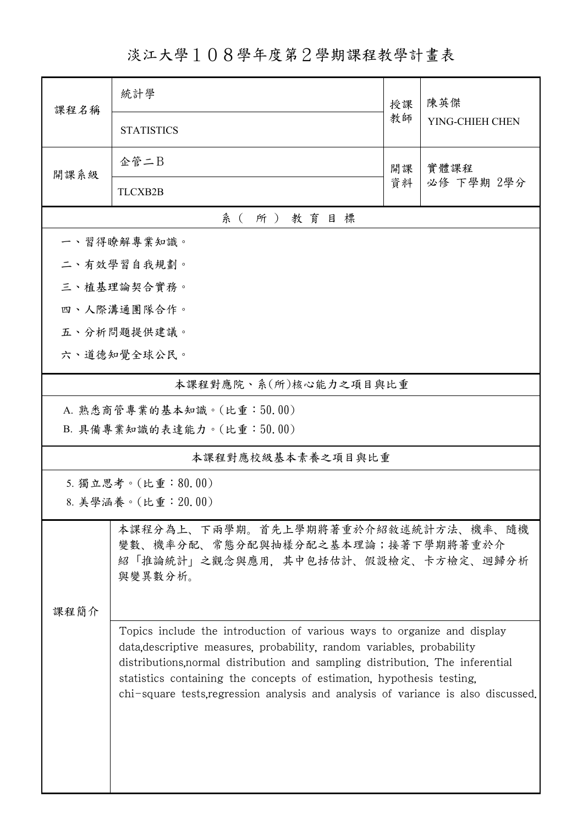淡江大學108學年度第2學期課程教學計畫表

| 課程名稱                      | 統計學                                                                                                                                                                                                                                                                                                                                                                                              |          | 陳英傑                |  |  |
|---------------------------|--------------------------------------------------------------------------------------------------------------------------------------------------------------------------------------------------------------------------------------------------------------------------------------------------------------------------------------------------------------------------------------------------|----------|--------------------|--|--|
|                           | <b>STATISTICS</b>                                                                                                                                                                                                                                                                                                                                                                                | 教師       | YING-CHIEH CHEN    |  |  |
| 開課系級                      | 企管二B                                                                                                                                                                                                                                                                                                                                                                                             | 開課<br>資料 | 實體課程<br>必修 下學期 2學分 |  |  |
|                           | TLCXB2B                                                                                                                                                                                                                                                                                                                                                                                          |          |                    |  |  |
| 系(所)教育目標                  |                                                                                                                                                                                                                                                                                                                                                                                                  |          |                    |  |  |
|                           | 一、習得瞭解專業知識。                                                                                                                                                                                                                                                                                                                                                                                      |          |                    |  |  |
|                           | 二、有效學習自我規劃。                                                                                                                                                                                                                                                                                                                                                                                      |          |                    |  |  |
|                           | 三、植基理論契合實務。                                                                                                                                                                                                                                                                                                                                                                                      |          |                    |  |  |
|                           | 四、人際溝通團隊合作。                                                                                                                                                                                                                                                                                                                                                                                      |          |                    |  |  |
|                           | 五、分析問題提供建議。                                                                                                                                                                                                                                                                                                                                                                                      |          |                    |  |  |
|                           | 六、道德知覺全球公民。                                                                                                                                                                                                                                                                                                                                                                                      |          |                    |  |  |
| 本課程對應院、系(所)核心能力之項目與比重     |                                                                                                                                                                                                                                                                                                                                                                                                  |          |                    |  |  |
| A. 熟悉商管專業的基本知識。(比重:50.00) |                                                                                                                                                                                                                                                                                                                                                                                                  |          |                    |  |  |
|                           | B. 具備專業知識的表達能力。(比重:50.00)                                                                                                                                                                                                                                                                                                                                                                        |          |                    |  |  |
| 本課程對應校級基本素養之項目與比重         |                                                                                                                                                                                                                                                                                                                                                                                                  |          |                    |  |  |
| 5. 獨立思考。(比重:80.00)        |                                                                                                                                                                                                                                                                                                                                                                                                  |          |                    |  |  |
|                           | 8. 美學涵養。(比重: 20.00)                                                                                                                                                                                                                                                                                                                                                                              |          |                    |  |  |
| 課程簡介                      | 本課程分為上、下兩學期。首先上學期將著重於介紹敘述統計方法、機率、隨機<br>變數、機率分配、常態分配與抽樣分配之基本理論;接著下學期將著重於介<br>紹「推論統計」之觀念與應用,其中包括估計、假設檢定、卡方檢定、迴歸分析<br>與變異數分析。                                                                                                                                                                                                                                                                       |          |                    |  |  |
|                           | Topics include the introduction of various ways to organize and display<br>data, descriptive measures, probability, random variables, probability<br>distributions, normal distribution and sampling distribution. The inferential<br>statistics containing the concepts of estimation, hypothesis testing,<br>chi-square tests, regression analysis and analysis of variance is also discussed. |          |                    |  |  |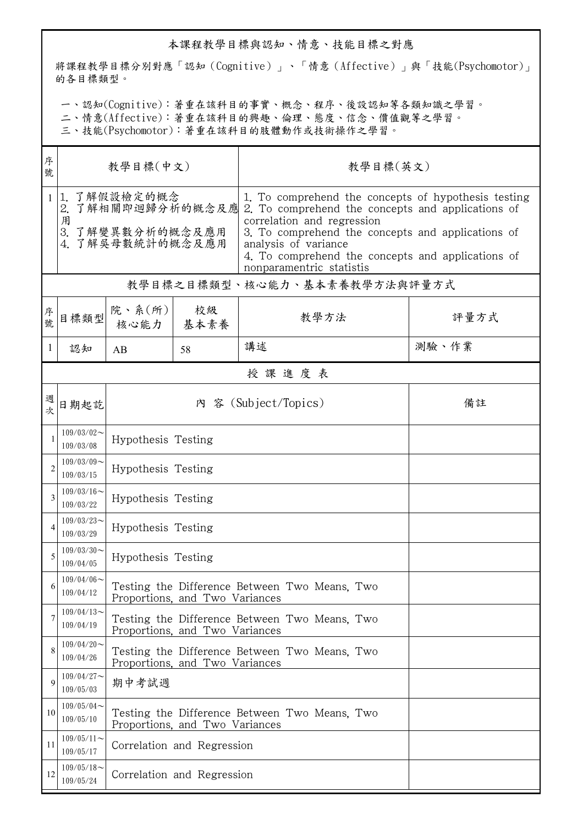## 本課程教學目標與認知、情意、技能目標之對應

將課程教學目標分別對應「認知(Cognitive)」、「情意(Affective)」與「技能(Psychomotor)」 的各目標類型。

一、認知(Cognitive):著重在該科目的事實、概念、程序、後設認知等各類知識之學習。

二、情意(Affective):著重在該科目的興趣、倫理、態度、信念、價值觀等之學習。

三、技能(Psychomotor):著重在該科目的肢體動作或技術操作之學習。

| 序<br>號         | 教學目標(中文)                                                                       |                                                                                 |                                | 教學目標(英文)                                                                                                                                                                                                                                                                                             |       |  |  |
|----------------|--------------------------------------------------------------------------------|---------------------------------------------------------------------------------|--------------------------------|------------------------------------------------------------------------------------------------------------------------------------------------------------------------------------------------------------------------------------------------------------------------------------------------------|-------|--|--|
| 1              | 1. 了解假設檢定的概念<br>2. 了解相關即迴歸分析的概念及應<br>用<br>3. 了解變異數分析的概念及應用<br>4. 了解吳母數統計的概念及應用 |                                                                                 |                                | 1. To comprehend the concepts of hypothesis testing<br>2. To comprehend the concepts and applications of<br>correlation and regression<br>3. To comprehend the concepts and applications of<br>analysis of variance<br>4. To comprehend the concepts and applications of<br>nonparamentric statistis |       |  |  |
|                | 教學目標之目標類型、核心能力、基本素養教學方法與評量方式                                                   |                                                                                 |                                |                                                                                                                                                                                                                                                                                                      |       |  |  |
| 序號             | 目標類型                                                                           | 院、系 $(\text{m})$<br>核心能力                                                        | 校級<br>基本素養                     | 教學方法                                                                                                                                                                                                                                                                                                 | 評量方式  |  |  |
| 1              | 認知                                                                             | AB                                                                              | 58                             | 講述                                                                                                                                                                                                                                                                                                   | 測驗、作業 |  |  |
|                | 授課進度表                                                                          |                                                                                 |                                |                                                                                                                                                                                                                                                                                                      |       |  |  |
| 週次             | 日期起訖                                                                           |                                                                                 |                                | 內 容 (Subject/Topics)                                                                                                                                                                                                                                                                                 | 備註    |  |  |
| 1              | $109/03/02$ ~<br>109/03/08                                                     | Hypothesis Testing                                                              |                                |                                                                                                                                                                                                                                                                                                      |       |  |  |
| $\overline{2}$ | $109/03/09$ ~<br>109/03/15                                                     | Hypothesis Testing                                                              |                                |                                                                                                                                                                                                                                                                                                      |       |  |  |
| 3              | $109/03/16$ ~<br>109/03/22                                                     | Hypothesis Testing                                                              |                                |                                                                                                                                                                                                                                                                                                      |       |  |  |
| 4              | $109/03/23$ ~<br>109/03/29                                                     | Hypothesis Testing                                                              |                                |                                                                                                                                                                                                                                                                                                      |       |  |  |
| 5              | $109/03/30$ ~<br>109/04/05                                                     | Hypothesis Testing                                                              |                                |                                                                                                                                                                                                                                                                                                      |       |  |  |
| 6              | $109/04/06 \sim$<br>109/04/12                                                  | Testing the Difference Between Two Means, Two<br>Proportions, and Two Variances |                                |                                                                                                                                                                                                                                                                                                      |       |  |  |
| 7              | $109/04/13$ ~<br>109/04/19                                                     | Testing the Difference Between Two Means, Two<br>Proportions, and Two Variances |                                |                                                                                                                                                                                                                                                                                                      |       |  |  |
| 8              | $109/04/20$ ~<br>109/04/26                                                     | Testing the Difference Between Two Means, Two<br>Proportions, and Two Variances |                                |                                                                                                                                                                                                                                                                                                      |       |  |  |
| 9              | $109/04/27$ ~<br>109/05/03                                                     | 期中考試週                                                                           |                                |                                                                                                                                                                                                                                                                                                      |       |  |  |
| 10             | $109/05/04$ ~<br>109/05/10                                                     |                                                                                 | Proportions, and Two Variances | Testing the Difference Between Two Means, Two                                                                                                                                                                                                                                                        |       |  |  |
| 11             | $109/05/11$ ~<br>109/05/17                                                     | Correlation and Regression                                                      |                                |                                                                                                                                                                                                                                                                                                      |       |  |  |
| 12             | $109/05/18$ ~<br>109/05/24                                                     | Correlation and Regression                                                      |                                |                                                                                                                                                                                                                                                                                                      |       |  |  |